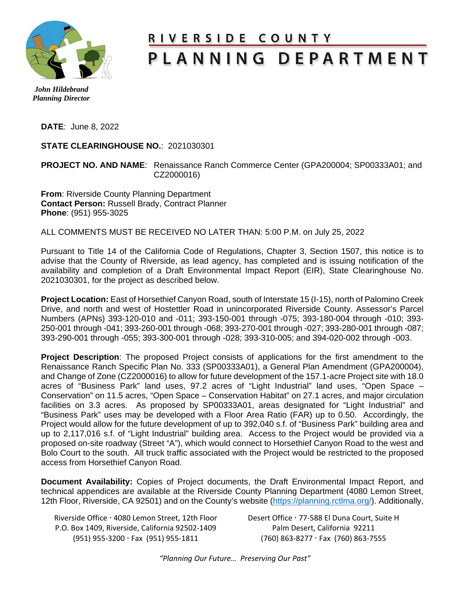

## <u>RIVERSIDE COUNTY</u> PLANNING DEPARTMENT

 *John Hildebrand Planning Director* 

**DATE**: June 8, 2022

**STATE CLEARINGHOUSE NO.**: 2021030301

## **PROJECT NO. AND NAME**: Renaissance Ranch Commerce Center (GPA200004; SP00333A01; and CZ2000016)

**From**: Riverside County Planning Department **Contact Person:** Russell Brady, Contract Planner **Phone**: (951) 955-3025

ALL COMMENTS MUST BE RECEIVED NO LATER THAN: 5:00 P.M. on July 25, 2022

Pursuant to Title 14 of the California Code of Regulations, Chapter 3, Section 1507, this notice is to advise that the County of Riverside, as lead agency, has completed and is issuing notification of the availability and completion of a Draft Environmental Impact Report (EIR), State Clearinghouse No. 2021030301, for the project as described below.

**Project Location:** East of Horsethief Canyon Road, south of Interstate 15 (I-15), north of Palomino Creek Drive, and north and west of Hostettler Road in unincorporated Riverside County. Assessor's Parcel Numbers (APNs) 393-120-010 and -011; 393-150-001 through -075; 393-180-004 through -010; 393- 250-001 through -041; 393-260-001 through -068; 393-270-001 through -027; 393-280-001 through -087; 393-290-001 through -055; 393-300-001 through -028; 393-310-005; and 394-020-002 through -003.

**Project Description**: The proposed Project consists of applications for the first amendment to the Renaissance Ranch Specific Plan No. 333 (SP00333A01), a General Plan Amendment (GPA200004), and Change of Zone (CZ2000016) to allow for future development of the 157.1-acre Project site with 18.0 acres of "Business Park" land uses, 97.2 acres of "Light Industrial" land uses, "Open Space – Conservation" on 11.5 acres, "Open Space – Conservation Habitat" on 27.1 acres, and major circulation facilities on 3.3 acres. As proposed by SP00333A01, areas designated for "Light Industrial" and "Business Park" uses may be developed with a Floor Area Ratio (FAR) up to 0.50. Accordingly, the Project would allow for the future development of up to 392,040 s.f. of "Business Park" building area and up to 2,117,016 s.f. of "Light Industrial" building area. Access to the Project would be provided via a proposed on-site roadway (Street "A"), which would connect to Horsethief Canyon Road to the west and Bolo Court to the south. All truck traffic associated with the Project would be restricted to the proposed access from Horsethief Canyon Road.

**Document Availability:** Copies of Project documents, the Draft Environmental Impact Report, and technical appendices are available at the Riverside County Planning Department (4080 Lemon Street, 12th Floor, Riverside, CA 92501) and on the County's website [\(https://planning.rctlma.org/\)](https://planning.rctlma.org/). Additionally,

Riverside Office · 4080 Lemon Street, 12th Floor Desert Office · 77-588 El Duna Court, Suite H P.O. Box 1409, Riverside, California 92502-1409 Palm Desert, California 92211 (951) 955-3200 Fax (951) 955-1811 (760) 863-8277 Fax (760) 863-7555

*"Planning Our Future… Preserving Our Past"*